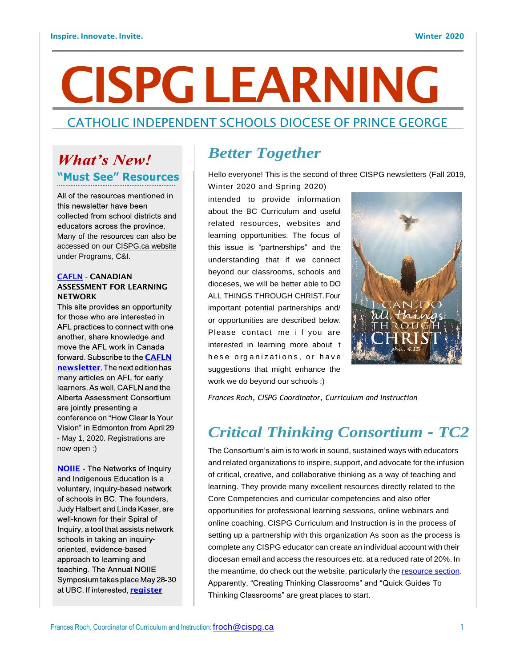# CISPGLEARNING

### CATHOLIC INDEPENDENT SCHOOLS DIOCESE OF PRINCE GEORGE

## **What's New!** "Must See" Resources

All of the resources mentioned in this newsletter have been collected from school districts and educators across the province. Many of the resources can also be accessed on our CISPG.ca website under Programs, C&I.

#### CAFLN - CANADIAN ASSESSMENT FOR LEARNING **NETWORK**

This site provides an opportunity for those who are interested in AFL practices to connect with one another, share knowledge and move the AFL work in Canada forward. Subscribe to the **CAFLN** newsletter The next edition has many articles on AFL for early learners. As well, CAFLN and the Alberta Assessment Consortium are jointly presenting a conference on "How Clear Is Your Vision" in Edmonton from April 29 - May 1, 2020. Registrations are now open :)

**NOILE** - The Networks of Inquiry and Indigenous Education is a voluntary, inquiry-based network of schools in BC. The founders, Judy Halbert and Linda Kaser, are well-known for their Spiral of Inquiry, a tool that assists network schools in taking an inquiryoriented, evidence-based approach to learning and teaching. The Annual NOIIE Symposium takes place May 28-30 at UBC. If interested, register

## *Better Together*

Hello everyone! This is the second of three CISPG newsletters (Fall 2019, Winter 2020 and Spring 2020)

intended to provide information about the BC Curriculum and useful related resources, websites and learning opportunities. The focus of this issue is "partnerships" and the understanding that if we connect beyond our classrooms, schools and dioceses, we will be better able to DO ALL THINGS THROUGH CHRIST.Four important potential partnerships and/ or opportunities are described below. Please contact me i f you are interested in learning more about t hese organizations, or have suggestions that might enhance the work we do beyond our schools :)



*Frances Roch, CISPG Coordinator, Curriculum and Instruction*

## *Critical Thinking Consortium - TC2*

The Consortium's aim is to work in sound, sustained ways with educators and related organizations to inspire, support, and advocate for the infusion of critical, creative, and collaborative thinking as a way of teaching and learning. They provide many excellent resources directly related to the Core Competencies and curricular competencies and also offer opportunities for professional learning sessions, online webinars and online coaching. CISPG Curriculum and Instruction is in the process of setting up a partnership with this organization As soon as the process is complete any CISPG educator can create an individual account with their diocesan email and access the resources etc. at a reduced rate of 20%. In the meantime, do check out the website, particularly the resource section. Apparently, "Creating Thinking Classrooms" and "Quick Guides To Thinking Classrooms" are great places to start.